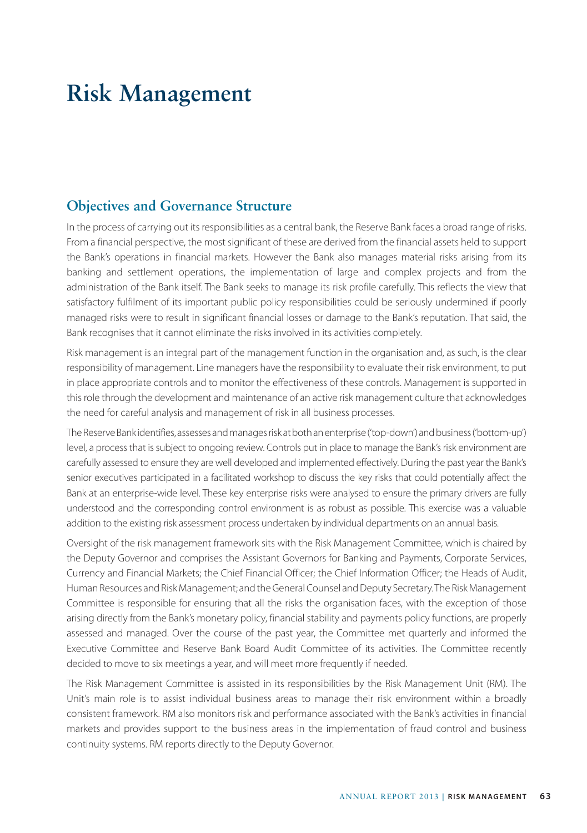# **Risk Management**

# **Objectives and Governance Structure**

In the process of carrying out its responsibilities as a central bank, the Reserve Bank faces a broad range of risks. From a financial perspective, the most significant of these are derived from the financial assets held to support the Bank's operations in financial markets. However the Bank also manages material risks arising from its banking and settlement operations, the implementation of large and complex projects and from the administration of the Bank itself. The Bank seeks to manage its risk profile carefully. This reflects the view that satisfactory fulfilment of its important public policy responsibilities could be seriously undermined if poorly managed risks were to result in significant financial losses or damage to the Bank's reputation. That said, the Bank recognises that it cannot eliminate the risks involved in its activities completely.

Risk management is an integral part of the management function in the organisation and, as such, is the clear responsibility of management. Line managers have the responsibility to evaluate their risk environment, to put in place appropriate controls and to monitor the effectiveness of these controls. Management is supported in this role through the development and maintenance of an active risk management culture that acknowledges the need for careful analysis and management of risk in all business processes.

The Reserve Bank identifies, assesses and manages risk at both an enterprise ('top-down') and business ('bottom-up') level, a process that is subject to ongoing review. Controls put in place to manage the Bank's risk environment are carefully assessed to ensure they are well developed and implemented effectively. During the past year the Bank's senior executives participated in a facilitated workshop to discuss the key risks that could potentially affect the Bank at an enterprise-wide level. These key enterprise risks were analysed to ensure the primary drivers are fully understood and the corresponding control environment is as robust as possible. This exercise was a valuable addition to the existing risk assessment process undertaken by individual departments on an annual basis.

Oversight of the risk management framework sits with the Risk Management Committee, which is chaired by the Deputy Governor and comprises the Assistant Governors for Banking and Payments, Corporate Services, Currency and Financial Markets; the Chief Financial Officer; the Chief Information Officer; the Heads of Audit, Human Resources and Risk Management; and the General Counsel and Deputy Secretary. The Risk Management Committee is responsible for ensuring that all the risks the organisation faces, with the exception of those arising directly from the Bank's monetary policy, financial stability and payments policy functions, are properly assessed and managed. Over the course of the past year, the Committee met quarterly and informed the Executive Committee and Reserve Bank Board Audit Committee of its activities. The Committee recently decided to move to six meetings a year, and will meet more frequently if needed.

The Risk Management Committee is assisted in its responsibilities by the Risk Management Unit (RM). The Unit's main role is to assist individual business areas to manage their risk environment within a broadly consistent framework. RM also monitors risk and performance associated with the Bank's activities in financial markets and provides support to the business areas in the implementation of fraud control and business continuity systems. RM reports directly to the Deputy Governor.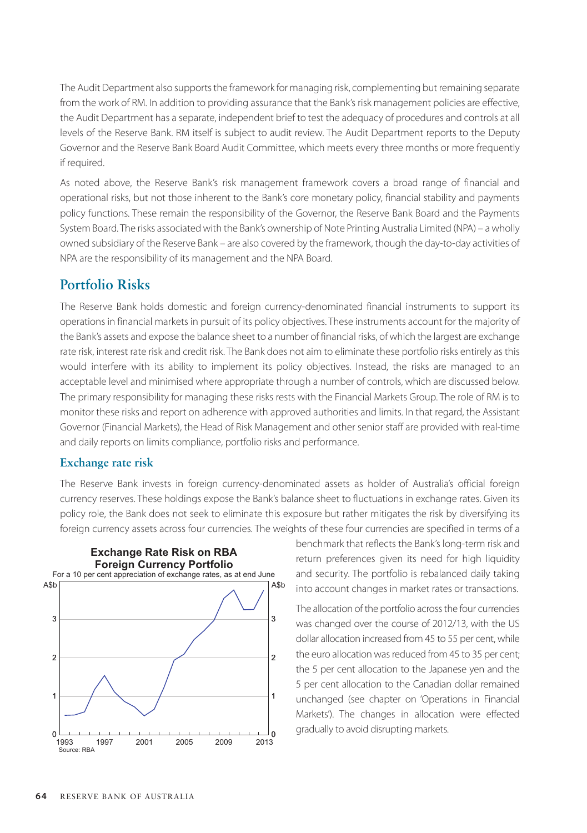The Audit Department also supports the framework for managing risk, complementing but remaining separate from the work of RM. In addition to providing assurance that the Bank's risk management policies are effective, the Audit Department has a separate, independent brief to test the adequacy of procedures and controls at all levels of the Reserve Bank. RM itself is subject to audit review. The Audit Department reports to the Deputy Governor and the Reserve Bank Board Audit Committee, which meets every three months or more frequently if required.

As noted above, the Reserve Bank's risk management framework covers a broad range of financial and operational risks, but not those inherent to the Bank's core monetary policy, financial stability and payments policy functions. These remain the responsibility of the Governor, the Reserve Bank Board and the Payments System Board. The risks associated with the Bank's ownership of Note Printing Australia Limited (NPA) – a wholly owned subsidiary of the Reserve Bank – are also covered by the framework, though the day-to-day activities of NPA are the responsibility of its management and the NPA Board.

## **Portfolio Risks**

The Reserve Bank holds domestic and foreign currency-denominated financial instruments to support its operations in financial markets in pursuit of its policy objectives. These instruments account for the majority of the Bank's assets and expose the balance sheet to a number of financial risks, of which the largest are exchange rate risk, interest rate risk and credit risk. The Bank does not aim to eliminate these portfolio risks entirely as this would interfere with its ability to implement its policy objectives. Instead, the risks are managed to an acceptable level and minimised where appropriate through a number of controls, which are discussed below. The primary responsibility for managing these risks rests with the Financial Markets Group. The role of RM is to monitor these risks and report on adherence with approved authorities and limits. In that regard, the Assistant Governor (Financial Markets), the Head of Risk Management and other senior staff are provided with real-time and daily reports on limits compliance, portfolio risks and performance.

#### **Exchange rate risk**

The Reserve Bank invests in foreign currency-denominated assets as holder of Australia's official foreign currency reserves. These holdings expose the Bank's balance sheet to fluctuations in exchange rates. Given its policy role, the Bank does not seek to eliminate this exposure but rather mitigates the risk by diversifying its foreign currency assets across four currencies. The weights of these four currencies are specified in terms of a



benchmark that reflects the Bank's long-term risk and return preferences given its need for high liquidity and security. The portfolio is rebalanced daily taking into account changes in market rates or transactions.

The allocation of the portfolio across the four currencies was changed over the course of 2012/13, with the US dollar allocation increased from 45 to 55 per cent, while the euro allocation was reduced from 45 to 35 per cent; the 5 per cent allocation to the Japanese yen and the 5 per cent allocation to the Canadian dollar remained unchanged (see chapter on 'Operations in Financial Markets'). The changes in allocation were effected gradually to avoid disrupting markets.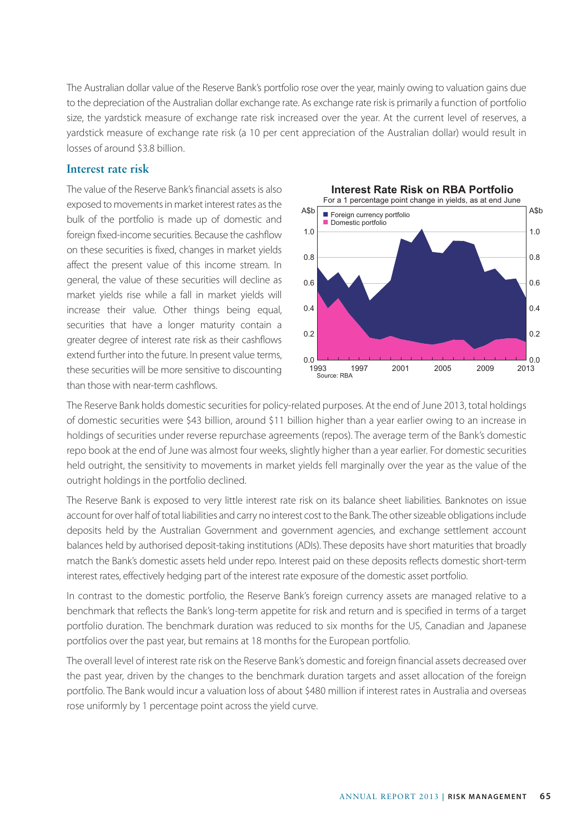The Australian dollar value of the Reserve Bank's portfolio rose over the year, mainly owing to valuation gains due to the depreciation of the Australian dollar exchange rate. As exchange rate risk is primarily a function of portfolio size, the yardstick measure of exchange rate risk increased over the year. At the current level of reserves, a yardstick measure of exchange rate risk (a 10 per cent appreciation of the Australian dollar) would result in losses of around \$3.8 billion.

#### **Interest rate risk**

The value of the Reserve Bank's financial assets is also exposed to movements in market interest rates as the bulk of the portfolio is made up of domestic and foreign fixed-income securities. Because the cashflow on these securities is fixed, changes in market yields affect the present value of this income stream. In general, the value of these securities will decline as market yields rise while a fall in market yields will increase their value. Other things being equal, securities that have a longer maturity contain a greater degree of interest rate risk as their cashflows extend further into the future. In present value terms, these securities will be more sensitive to discounting than those with near-term cashflows.



The Reserve Bank holds domestic securities for policy-related purposes. At the end of June 2013, total holdings of domestic securities were \$43 billion, around \$11 billion higher than a year earlier owing to an increase in holdings of securities under reverse repurchase agreements (repos). The average term of the Bank's domestic repo book at the end of June was almost four weeks, slightly higher than a year earlier. For domestic securities held outright, the sensitivity to movements in market yields fell marginally over the year as the value of the outright holdings in the portfolio declined.

The Reserve Bank is exposed to very little interest rate risk on its balance sheet liabilities. Banknotes on issue account for over half of total liabilities and carry no interest cost to the Bank. The other sizeable obligations include deposits held by the Australian Government and government agencies, and exchange settlement account balances held by authorised deposit-taking institutions (ADIs). These deposits have short maturities that broadly match the Bank's domestic assets held under repo. Interest paid on these deposits reflects domestic short-term interest rates, effectively hedging part of the interest rate exposure of the domestic asset portfolio.

In contrast to the domestic portfolio, the Reserve Bank's foreign currency assets are managed relative to a benchmark that reflects the Bank's long-term appetite for risk and return and is specified in terms of a target portfolio duration. The benchmark duration was reduced to six months for the US, Canadian and Japanese portfolios over the past year, but remains at 18 months for the European portfolio.

The overall level of interest rate risk on the Reserve Bank's domestic and foreign financial assets decreased over the past year, driven by the changes to the benchmark duration targets and asset allocation of the foreign portfolio. The Bank would incur a valuation loss of about \$480 million if interest rates in Australia and overseas rose uniformly by 1 percentage point across the yield curve.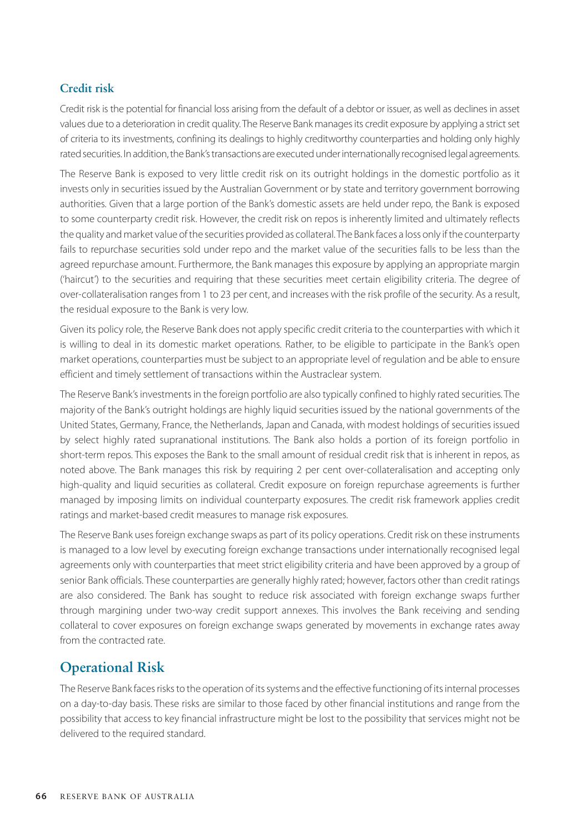### **Credit risk**

Credit risk is the potential for financial loss arising from the default of a debtor or issuer, as well as declines in asset values due to a deterioration in credit quality. The Reserve Bank manages its credit exposure by applying a strict set of criteria to its investments, confining its dealings to highly creditworthy counterparties and holding only highly rated securities. In addition, the Bank's transactions are executed under internationally recognised legal agreements.

The Reserve Bank is exposed to very little credit risk on its outright holdings in the domestic portfolio as it invests only in securities issued by the Australian Government or by state and territory government borrowing authorities. Given that a large portion of the Bank's domestic assets are held under repo, the Bank is exposed to some counterparty credit risk. However, the credit risk on repos is inherently limited and ultimately reflects the quality and market value of the securities provided as collateral. The Bank faces a loss only if the counterparty fails to repurchase securities sold under repo and the market value of the securities falls to be less than the agreed repurchase amount. Furthermore, the Bank manages this exposure by applying an appropriate margin ('haircut') to the securities and requiring that these securities meet certain eligibility criteria. The degree of over-collateralisation ranges from 1 to 23 per cent, and increases with the risk profile of the security. As a result, the residual exposure to the Bank is very low.

Given its policy role, the Reserve Bank does not apply specific credit criteria to the counterparties with which it is willing to deal in its domestic market operations. Rather, to be eligible to participate in the Bank's open market operations, counterparties must be subject to an appropriate level of regulation and be able to ensure efficient and timely settlement of transactions within the Austraclear system.

The Reserve Bank's investments in the foreign portfolio are also typically confined to highly rated securities. The majority of the Bank's outright holdings are highly liquid securities issued by the national governments of the United States, Germany, France, the Netherlands, Japan and Canada, with modest holdings of securities issued by select highly rated supranational institutions. The Bank also holds a portion of its foreign portfolio in short-term repos. This exposes the Bank to the small amount of residual credit risk that is inherent in repos, as noted above. The Bank manages this risk by requiring 2 per cent over-collateralisation and accepting only high-quality and liquid securities as collateral. Credit exposure on foreign repurchase agreements is further managed by imposing limits on individual counterparty exposures. The credit risk framework applies credit ratings and market-based credit measures to manage risk exposures.

The Reserve Bank uses foreign exchange swaps as part of its policy operations. Credit risk on these instruments is managed to a low level by executing foreign exchange transactions under internationally recognised legal agreements only with counterparties that meet strict eligibility criteria and have been approved by a group of senior Bank officials. These counterparties are generally highly rated; however, factors other than credit ratings are also considered. The Bank has sought to reduce risk associated with foreign exchange swaps further through margining under two-way credit support annexes. This involves the Bank receiving and sending collateral to cover exposures on foreign exchange swaps generated by movements in exchange rates away from the contracted rate.

# **Operational Risk**

The Reserve Bank faces risks to the operation of its systems and the effective functioning of its internal processes on a day-to-day basis. These risks are similar to those faced by other financial institutions and range from the possibility that access to key financial infrastructure might be lost to the possibility that services might not be delivered to the required standard.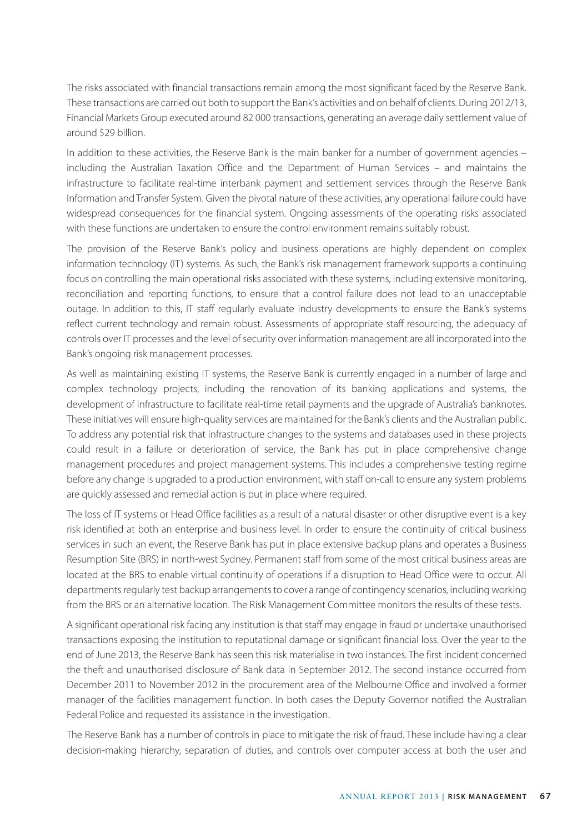The risks associated with financial transactions remain among the most significant faced by the Reserve Bank. These transactions are carried out both to support the Bank's activities and on behalf of clients. During 2012/13, Financial Markets Group executed around 82 000 transactions, generating an average daily settlement value of around \$29 billion.

In addition to these activities, the Reserve Bank is the main banker for a number of government agencies – including the Australian Taxation Office and the Department of Human Services – and maintains the infrastructure to facilitate real-time interbank payment and settlement services through the Reserve Bank Information and Transfer System. Given the pivotal nature of these activities, any operational failure could have widespread consequences for the financial system. Ongoing assessments of the operating risks associated with these functions are undertaken to ensure the control environment remains suitably robust.

The provision of the Reserve Bank's policy and business operations are highly dependent on complex information technology (IT) systems. As such, the Bank's risk management framework supports a continuing focus on controlling the main operational risks associated with these systems, including extensive monitoring, reconciliation and reporting functions, to ensure that a control failure does not lead to an unacceptable outage. In addition to this, IT staff regularly evaluate industry developments to ensure the Bank's systems reflect current technology and remain robust. Assessments of appropriate staff resourcing, the adequacy of controls over IT processes and the level of security over information management are all incorporated into the Bank's ongoing risk management processes.

As well as maintaining existing IT systems, the Reserve Bank is currently engaged in a number of large and complex technology projects, including the renovation of its banking applications and systems, the development of infrastructure to facilitate real-time retail payments and the upgrade of Australia's banknotes. These initiatives will ensure high-quality services are maintained for the Bank's clients and the Australian public. To address any potential risk that infrastructure changes to the systems and databases used in these projects could result in a failure or deterioration of service, the Bank has put in place comprehensive change management procedures and project management systems. This includes a comprehensive testing regime before any change is upgraded to a production environment, with staff on-call to ensure any system problems are quickly assessed and remedial action is put in place where required.

The loss of IT systems or Head Office facilities as a result of a natural disaster or other disruptive event is a key risk identified at both an enterprise and business level. In order to ensure the continuity of critical business services in such an event, the Reserve Bank has put in place extensive backup plans and operates a Business Resumption Site (BRS) in north-west Sydney. Permanent staff from some of the most critical business areas are located at the BRS to enable virtual continuity of operations if a disruption to Head Office were to occur. All departments regularly test backup arrangements to cover a range of contingency scenarios, including working from the BRS or an alternative location. The Risk Management Committee monitors the results of these tests.

A significant operational risk facing any institution is that staff may engage in fraud or undertake unauthorised transactions exposing the institution to reputational damage or significant financial loss. Over the year to the end of June 2013, the Reserve Bank has seen this risk materialise in two instances. The first incident concerned the theft and unauthorised disclosure of Bank data in September 2012. The second instance occurred from December 2011 to November 2012 in the procurement area of the Melbourne Office and involved a former manager of the facilities management function. In both cases the Deputy Governor notified the Australian Federal Police and requested its assistance in the investigation.

The Reserve Bank has a number of controls in place to mitigate the risk of fraud. These include having a clear decision-making hierarchy, separation of duties, and controls over computer access at both the user and